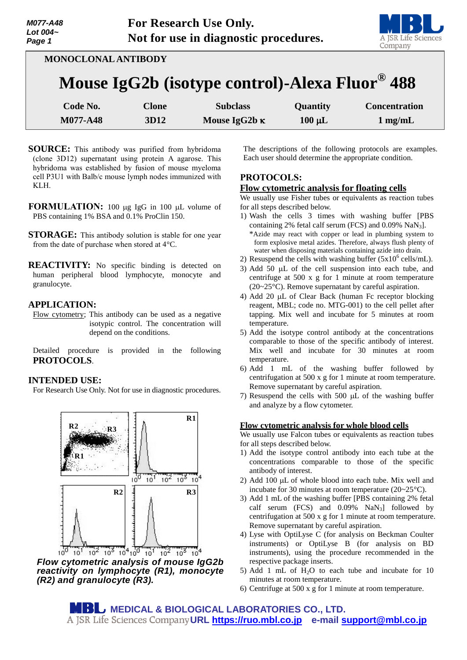

**MONOCLONAL ANTIBODY**

# **Mouse IgG2b (isotype control)-Alexa Fluor® 488**

| Code No. | Clone | <b>Subclass</b>      | <b>Quantity</b> | <b>Concentration</b> |
|----------|-------|----------------------|-----------------|----------------------|
| M077-A48 | 3D12  | Mouse IgG2b $\kappa$ | $100 \mu L$     | $1$ mg/mL            |

- **SOURCE:** This antibody was purified from hybridoma (clone 3D12) supernatant using protein A agarose. This hybridoma was established by fusion of mouse myeloma cell P3U1 with Balb/c mouse lymph nodes immunized with KLH.
- **FORMULATION:** 100 µg IgG in 100 µL volume of PBS containing 1% BSA and 0.1% ProClin 150.
- **STORAGE:** This antibody solution is stable for one year from the date of purchase when stored at 4°C.
- **REACTIVITY:** No specific binding is detected on human peripheral blood lymphocyte, monocyte and granulocyte.

#### **APPLICATION:**

Flow cytometry; This antibody can be used as a negative isotypic control. The concentration will depend on the conditions.

Detailed procedure is provided in the following **PROTOCOLS**.

#### **INTENDED USE:**

For Research Use Only. Not for use in diagnostic procedures.



*Flow cytometric analysis of mouse IgG2b reactivity on lymphocyte (R1), monocyte (R2) and granulocyte (R3).*

The descriptions of the following protocols are examples. Each user should determine the appropriate condition.

## **PROTOCOLS:**

#### **Flow cytometric analysis for floating cells**

We usually use Fisher tubes or equivalents as reaction tubes for all steps described below.

- 1) Wash the cells 3 times with washing buffer [PBS containing 2% fetal calf serum (FCS) and 0.09% NaN3]. \*Azide may react with copper or lead in plumbing system to form explosive metal azides. Therefore, always flush plenty of water when disposing materials containing azide into drain.
- 2) Resuspend the cells with washing buffer  $(5x10^6 \text{ cells/mL})$ .
- 3) Add 50  $\mu$ L of the cell suspension into each tube, and centrifuge at 500 x g for 1 minute at room temperature (20~25°C). Remove supernatant by careful aspiration.
- 4) Add 20  $\mu$ L of Clear Back (human Fc receptor blocking reagent, MBL; code no. MTG-001) to the cell pellet after tapping. Mix well and incubate for 5 minutes at room temperature.
- 5) Add the isotype control antibody at the concentrations comparable to those of the specific antibody of interest. Mix well and incubate for 30 minutes at room temperature.
- 6) Add 1 mL of the washing buffer followed by centrifugation at 500 x g for 1 minute at room temperature. Remove supernatant by careful aspiration.
- 7) Resuspend the cells with  $500 \mu L$  of the washing buffer and analyze by a flow cytometer.

#### **Flow cytometric analysis for whole blood cells**

We usually use Falcon tubes or equivalents as reaction tubes for all steps described below.

- 1) Add the isotype control antibody into each tube at the concentrations comparable to those of the specific antibody of interest.
- 2) Add 100  $\mu$ L of whole blood into each tube. Mix well and incubate for 30 minutes at room temperature (20~25°C).
- 3) Add 1 mL of the washing buffer [PBS containing 2% fetal calf serum (FCS) and  $0.09\%$  NaN<sub>3</sub>] followed by centrifugation at 500 x g for 1 minute at room temperature. Remove supernatant by careful aspiration.
- 4) Lyse with OptiLyse C (for analysis on Beckman Coulter instruments) or OptiLyse B (for analysis on BD instruments), using the procedure recommended in the respective package inserts.
- 5) Add 1 mL of  $H<sub>2</sub>O$  to each tube and incubate for 10 minutes at room temperature.
- 6) Centrifuge at 500 x g for 1 minute at room temperature.